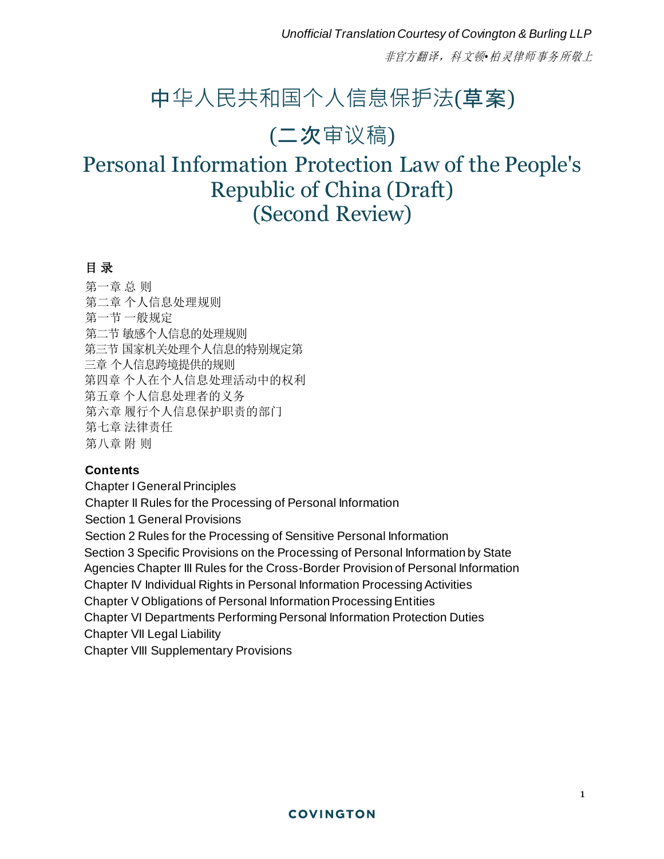*Unofficial Translation Courtesy of Covington & Burling LLP*

非官方翻译,科 文顿*•*柏 灵律师 事务 所敬上

# 中华人民共和国个人信息保护法(草案)

# (二次审议稿)

# Personal Information Protection Law of the People's Republic of China (Draft) (Second Review)

## 目 录

第一章 总 则 第二章 个人信息处理规则 第一节 一般规定 第二节 敏感个人信息的处理规则 第三节 国家机关处理个人信息的特别规定第 三章 个人信息跨境提供的规则 第四章 个人在个人信息处理活动中的权利 第五章 个人信息处理者的义务 第六章 履行个人信息保护职责的部门 第七章 法律责任 第八章 附 则

#### **Contents**

**Chapter I General Principles** Chapter II Rules for the Processing of Personal Information Section 1 General Provisions Section 2 Rules for the Processing of Sensitive Personal Information Section 3 Specific Provisions on the Processing of Personal Information by State Agencies Chapter III Rules for the Cross-Border Provision of Personal Information Chapter IV Individual Rights in Personal Information Processing Activities Chapter V Obligations of Personal Information Processing Entities Chapter VI Departments Performing Personal Information Protection Duties Chapter VII Legal Liability Chapter VIII Supplementary Provisions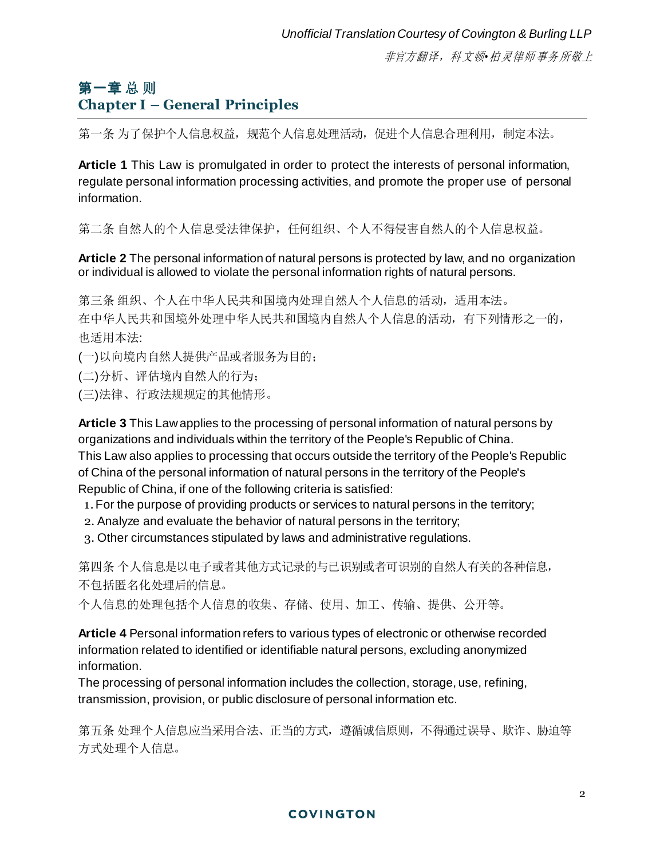# 第一章 总 则 **Chapter I – General Principles**

第一条 为了保护个人信息权益,规范个人信息处理活动,促进个人信息合理利用,制定本法。

**Article 1** This Law is promulgated in order to protect the interests of personal information, regulate personal information processing activities, and promote the proper use of personal information.

第二条 自然人的个人信息受法律保护,任何组织、个人不得侵害自然人的个人信息权益。

**Article 2** The personal information of natural persons is protected by law, and no organization or individual is allowed to violate the personal information rights of natural persons.

第三条 组织、个人在中华人民共和国境内处理自然人个人信息的活动,适适用本法。 在中华人民共和国境外处理中华人民共和国境内自然人个人信息的活动,有下列情形之一的, 也适用本法:

(一)以向境内自然人提供产品或者服务为目的;

(二)分析、评估境内自然人的行为;

(三)法律、行政法规规定的其他情形。

**Article 3** This Law applies to the processing of personal information of natural persons by organizations and individuals within the territory of the People's Republic of China. This Law also applies to processing that occurs outside the territory of the People's Republic of China of the personal information of natural persons in the territory of the People's Republic of China, if one of the following criteria is satisfied:

1. For the purpose of providing products or services to natural persons in the territory;

- 2. Analyze and evaluate the behavior of natural persons in the territory;
- 3. Other circumstances stipulated by laws and administrative regulations.

第四条 个人信息是以电子或者其他方式记录的与已识别或者可识别的自然人有关的各种信息, 不包括匿名化处理后的信息。

个人信息的处理包括个人信息的收集、存储、使用、加工、传输、提供、公开等。

**Article 4** Personal information refers to various types of electronic or otherwise recorded information related to identified or identifiable natural persons, excluding anonymized information.

The processing of personal information includes the collection, storage, use, refining, transmission, provision, or public disclosure of personal information etc.

第五条 处理个人信息应当采用合法、正当的方式, 遵循诚信原则, 不得通过误导、欺诈、胁迫等 方式处理个人信息。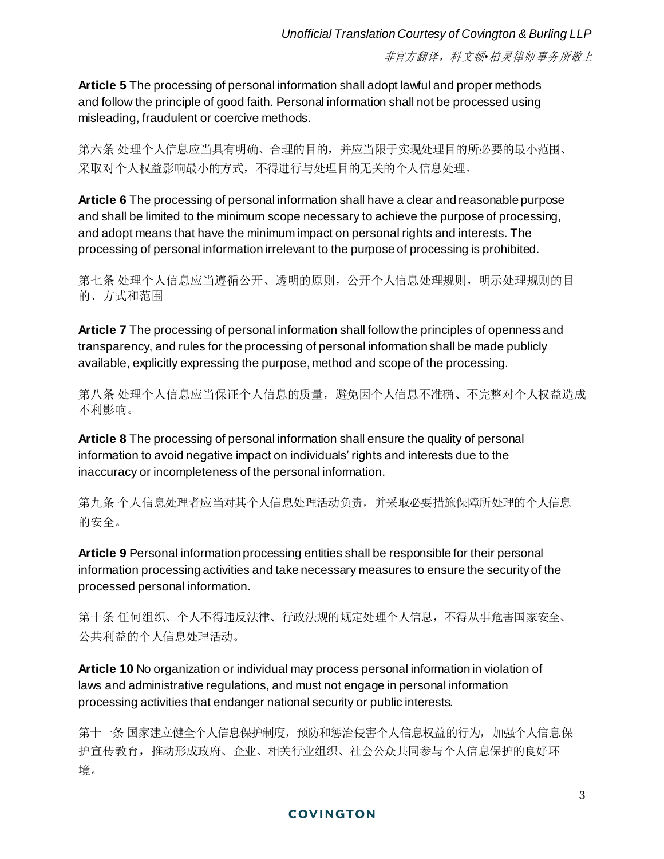**Article 5** The processing of personal information shall adopt lawful and proper methods and follow the principle of good faith. Personal information shall not be processed using misleading, fraudulent or coercive methods.

第六条 处理个人信息应当具有明确、合理的目的,并应当限于实现处理目的所必要的最小范围、 采取对个人权益影响最小的方式,不得进行与处理目的无关的个人信息处理。

**Article 6** The processing of personal information shall have a clear and reasonable purpose and shall be limited to the minimum scope necessary to achieve the purpose of processing, and adopt means that have the minimum impact on personal rights and interests. The processing of personal information irrelevant to the purpose of processing is prohibited.

第七条 处理个人信息应当遵循公开、透明的原则,公开个人信息处理规则,明示处理规则的目 的、方式和范围

**Article 7** The processing of personal information shall follow the principles of openness and transparency, and rules for the processing of personal information shall be made publicly available, explicitly expressing the purpose, method and scope of the processing.

第八条 处理个人信息应当保证个人信息的质量,避免因个人信息不准确、不完整对个人权益造成 不利影响。

**Article 8** The processing of personal information shall ensure the quality of personal information to avoid negative impact on individuals' rights and interests due to the inaccuracy or incompleteness of the personal information.

第九条 个人信息处理者应当对其个人信息处理活动负责,并采取必要措施保障所处理的个人信息 的安全。

**Article 9** Personal information processing entities shall be responsible for their personal information processing activities and take necessary measures to ensure the security of the processed personal information.

第十条 任何组织、个人不得违反法律、行政法规的规定处理个人信息,不得从事危害国家安全、 公共利益的个人信息处理活动。

**Article 10** No organization or individual may process personal information in violation of laws and administrative regulations, and must not engage in personal information processing activities that endanger national security or public interests.

第十一条 国家建立健全个人信息保护制度, 预防和惩治侵害个人信息权益的行为, 加强个人信息保 护宣传教育,推动形成政府、企业、相关行业组织、社会公众共同参与个人信息保护的良好环 境。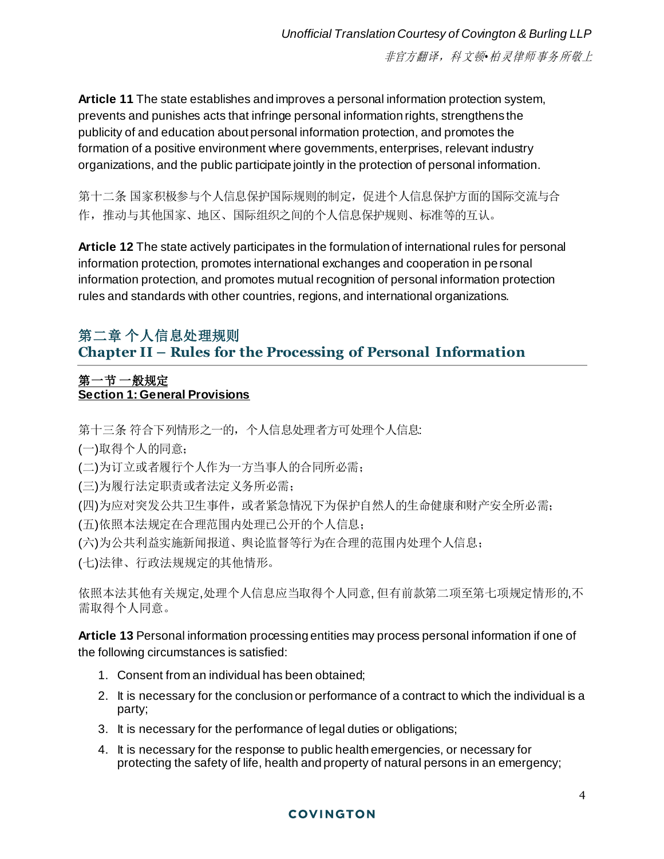**Article 11** The state establishes and improves a personal information protection system, prevents and punishes acts that infringe personal information rights, strengthens the publicity of and education about personal information protection, and promotes the formation of a positive environment where governments, enterprises, relevant industry organizations, and the public participate jointly in the protection of personal information.

第十二条 国家积极参与个人信息保护国际规则的制定,促进个人信息保护方面的国际交流与合 作,推动与其他国家、地区、国际组织之间的个人信息保护规则、标准等的互认。

**Article 12** The state actively participates in the formulation of international rules for personal information protection, promotes international exchanges and cooperation in personal information protection, and promotes mutual recognition of personal information protection rules and standards with other countries, regions, and international organizations.

# 第二章 个人信息处理规则 **Chapter II – Rules for the Processing of Personal Information**

## 第一节 一般规定 **Section 1: General Provisions**

第十三条 符合下列情形之一的,个人信息处理者方可处理个人信息:

(一)取得个人的同意;

(二)为订立或者履行个人作为一方当事人的合同所必需;

- (三)为履行法定职责或者法定义务所必需;
- (四)为应对突发公共卫生事件,或者紧急情况下为保护自然人的生命健康和财产安全所必需;
- (五)依照本法规定在合理范围内处理已公开的个人信息;
- (六)为公共利益实施新闻报道、舆论监督等行为在合理的范围内处理个人信息;
- (七)法律、行政法规规定的其他情形。

依照本法其他有关规定,处理个人信息应当取得个人同意, 但有前款第二项至第七项规定情形的,不 需取得个人同意。

**Article 13** Personal information processing entities may process personal information if one of the following circumstances is satisfied:

- 1. Consent from an individual has been obtained;
- 2. It is necessary for the conclusion or performance of a contract to which the individual is a party;
- 3. It is necessary for the performance of legal duties or obligations;
- 4. It is necessary for the response to public health emergencies, or necessary for protecting the safety of life, health and property of natural persons in an emergency;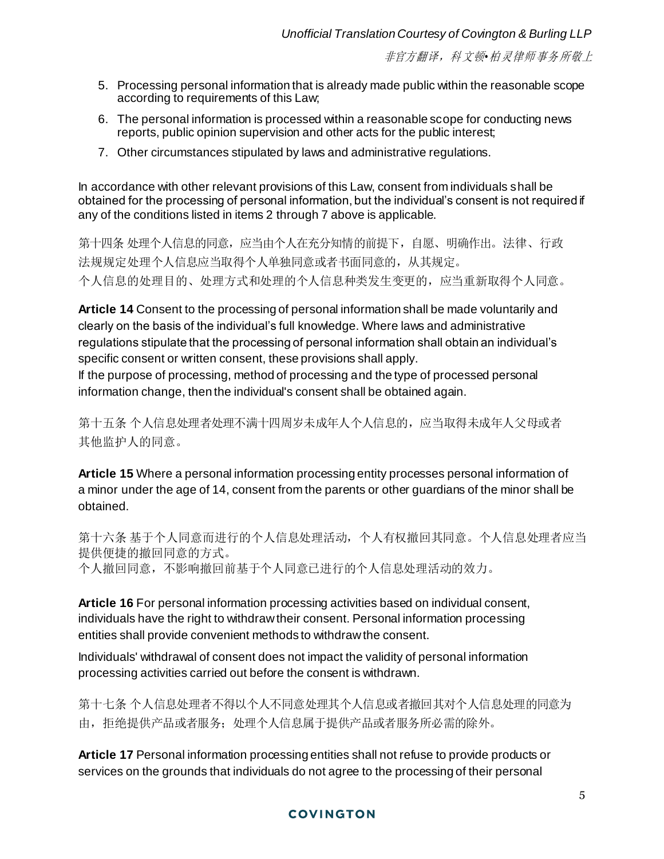- 5. Processing personal information that is already made public within the reasonable scope according to requirements of this Law;
- 6. The personal information is processed within a reasonable scope for conducting news reports, public opinion supervision and other acts for the public interest;
- 7. Other circumstances stipulated by laws and administrative regulations.

In accordance with other relevant provisions of this Law, consent from individuals shall be obtained for the processing of personal information, but the individual's consent is not required if any of the conditions listed in items 2 through 7 above is applicable.

第十四条 处理个人信息的同意,应当由个人在充分知情的前提下,自愿、明确作出。法律、行政 法规规定处理个人信息应当取得个人单独同意或者书面同意的,从其规定。 个人信息的处理目的、处理方式和处理的个人信息种类发生变更的,应当重新取得个人同意。

**Article 14** Consent to the processing of personal information shall be made voluntarily and clearly on the basis of the individual's full knowledge. Where laws and administrative regulations stipulate that the processing of personal information shall obtain an individual's specific consent or written consent, these provisions shall apply.

If the purpose of processing, method of processing and the type of processed personal information change, then the individual's consent shall be obtained again.

第十五条 个人信息处理者处理不满十四周岁未成年人个人信息的,应当取得未成年人父母或者 其他监护人的同意。

**Article 15** Where a personal information processing entity processes personal information of a minor under the age of 14, consent from the parents or other guardians of the minor shall be obtained.

第十六条 基于个人同意而进行的个人信息处理活动,个人有权撤回其同意。个人信息处理者应当 提供便捷的撤回同意的方式。 个人撤回同意,不影响撤回前基于个人同意已进行的个人信息处理活动的效力。

**Article 16** For personal information processing activities based on individual consent, individuals have the right to withdraw their consent. Personal information processing entities shall provide convenient methods to withdraw the consent.

Individuals' withdrawal of consent does not impact the validity of personal information processing activities carried out before the consent is withdrawn.

第十七条 个人信息处理者不得以个人不同意处理其个人信息或者撤回其对个人信息处理的同意为 由,拒绝提供产品或者服务;处理个人信息属于提供产品或者服务所必需的除外。

**Article 17** Personal information processing entities shall not refuse to provide products or services on the grounds that individuals do not agree to the processing of their personal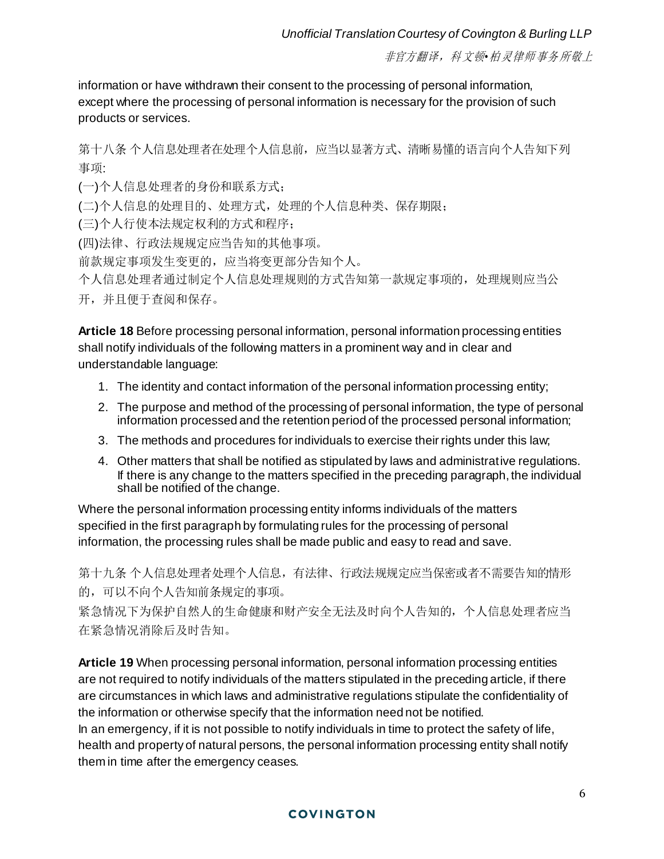information or have withdrawn their consent to the processing of personal information, except where the processing of personal information is necessary for the provision of such products or services.

第十八条 个人信息处理者在处理个人信息前,应当以显著方式、清晰易懂的语言向个人告知下列 事项:

(一)个人信息处理者的身份和联系方式;

(二)个人信息的处理目的、处理方式,处理的个人信息种类、保存期限;

(三)个人行使本法规定权利的方式和程序;

(四)法律、行政法规规定应当告知的其他事项。

前款规定事项发生变更的,应当将变更部分告知个人。

个人信息处理者通过制定个人信息处理规则的方式告知第一款规定事项的,处理规则应当公

开,并且便于查阅和保存。

**Article 18** Before processing personal information, personal information processing entities shall notify individuals of the following matters in a prominent way and in clear and understandable language:

- 1. The identity and contact information of the personal information processing entity;
- 2. The purpose and method of the processing of personal information, the type of personal information processed and the retention period of the processed personal information;
- 3. The methods and procedures for individuals to exercise their rights under this law;
- 4. Other matters that shall be notified as stipulated by laws and administrative regulations. If there is any change to the matters specified in the preceding paragraph, the individual shall be notified of the change.

Where the personal information processing entity informs individuals of the matters specified in the first paragraph by formulating rules for the processing of personal information, the processing rules shall be made public and easy to read and save.

第十九条 个人信息处理者处理个人信息,有法律、行政法规规定应当保密或者不需要告知的情形 的,可以不向个人告知前条规定的事项。

紧急情况下为保护自然人的生命健康和财产安全无法及时向个人告知的,个人信息处理者应当 在紧急情况消除后及时告知。

**Article 19** When processing personal information, personal information processing entities are not required to notify individuals of the matters stipulated in the preceding article, if there are circumstances in which laws and administrative regulations stipulate the confidentiality of the information or otherwise specify that the information need not be notified. In an emergency, if it is not possible to notify individuals in time to protect the safety of life, health and property of natural persons, the personal information processing entity shall notify them in time after the emergency ceases.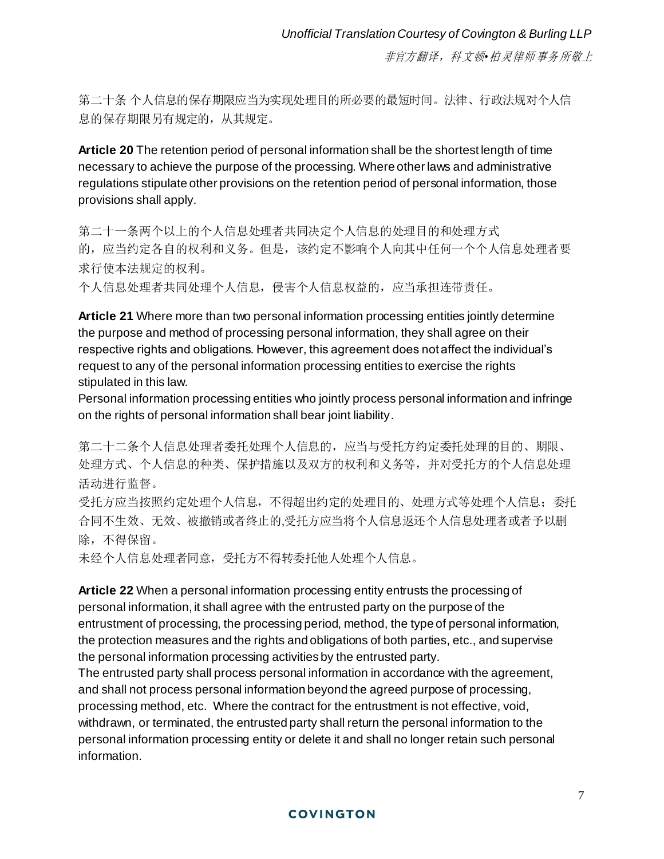第二十条 个人信息的保存期限应当为实现处理目的所必要的最短时间。法律、行政法规对个人信 息的保存期限另有规定的,从其规定。

**Article 20** The retention period of personal information shall be the shortest length of time necessary to achieve the purpose of the processing. Where other laws and administrative regulations stipulate other provisions on the retention period of personal information, those provisions shall apply.

第二十一条两个以上的个人信息处理者共同决定个人信息的处理目的和处理方式 的,应当约定各自的权利和义务。但是,该约定不影响个人向其中任何一个个人信息处理者要 求行使本法规定的权利。

个人信息处理者共同处理个人信息,侵害个人信息权益的,应当承担连带责任。

**Article 21** Where more than two personal information processing entities jointly determine the purpose and method of processing personal information, they shall agree on their respective rights and obligations. However, this agreement does not affect the individual's request to any of the personal information processing entities to exercise the rights stipulated in this law.

Personal information processing entities who jointly process personal information and infringe on the rights of personal information shall bear joint liability.

第二十二条个人信息处理者委托处理个人信息的,应当与受托方约定委托处理的目的、期限、 处理方式、个人信息的种类、保护措施以及双方的权利和义务等,并对受托方的个人信息处理 活动进行监督。

受托方应当按照约定处理个人信息,不得超出约定的处理目的、处理方式等处理个人信息;委托 合同不生效、无效、被撤销或者终止的,受托方应当将个人信息返还个人信息处理者或者予以删 除,不得保留。

未经个人信息处理者同意,受托方不得转委托他人处理个人信息。

**Article 22** When a personal information processing entity entrusts the processing of personal information, it shall agree with the entrusted party on the purpose of the entrustment of processing, the processing period, method, the type of personal information, the protection measures and the rights and obligations of both parties, etc., and supervise the personal information processing activities by the entrusted party.

The entrusted party shall process personal information in accordance with the agreement, and shall not process personal information beyond the agreed purpose of processing, processing method, etc. Where the contract for the entrustment is not effective, void, withdrawn, or terminated, the entrusted party shall return the personal information to the personal information processing entity or delete it and shall no longer retain such personal information.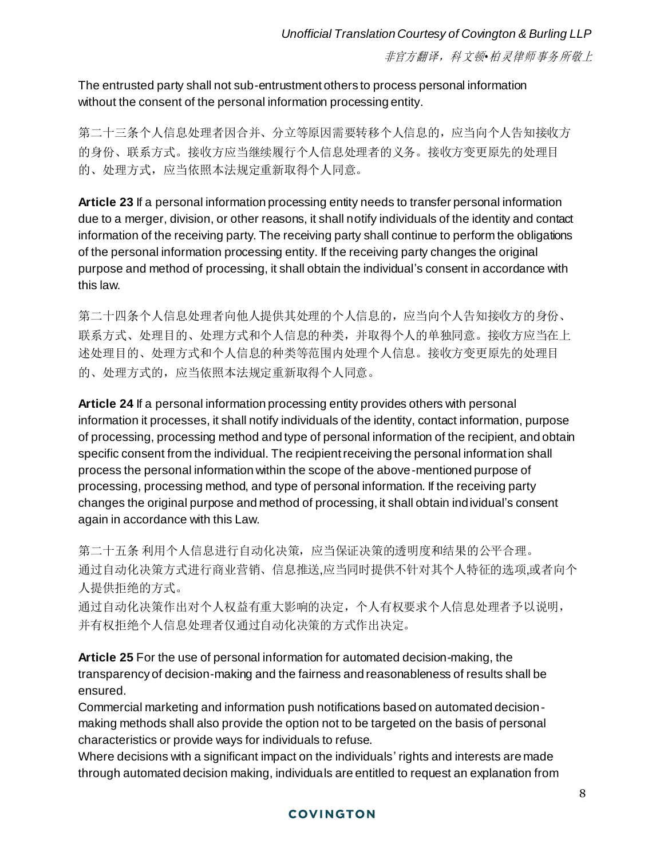The entrusted party shall not sub-entrustment others to process personal information without the consent of the personal information processing entity.

第二十三条个人信息处理者因合并、分立等原因需要转移个人信息的,应当向个人告知接收方 的身份、联系方式。接收方应当继续履行个人信息处理者的义务。接收方变更原先的处理目 的、处理方式,应当依照本法规定重新取得个人同意。

**Article 23** If a personal information processing entity needs to transfer personal information due to a merger, division, or other reasons, it shall notify individuals of the identity and contact information of the receiving party. The receiving party shall continue to perform the obligations of the personal information processing entity. If the receiving party changes the original purpose and method of processing, it shall obtain the individual's consent in accordance with this law.

第二十四条个人信息处理者向他人提供其处理的个人信息的,应当向个人告知接收方的身份、 联系方式、处理目的、处理方式和个人信息的种类,并取得个人的单独同意。接收方应当在上 述处理目的、处理方式和个人信息的种类等范围内处理个人信息。接收方变更原先的处理目 的、处理方式的,应当依照本法规定重新取得个人同意。

**Article 24** If a personal information processing entity provides others with personal information it processes, it shall notify individuals of the identity, contact information, purpose of processing, processing method and type of personal information of the recipient, and obtain specific consent from the individual. The recipient receiving the personal information shall process the personal information within the scope of the above-mentioned purpose of processing, processing method, and type of personal information. If the receiving party changes the original purpose and method of processing, it shall obtain individual's consent again in accordance with this Law.

第二十五条 利用个人信息进行自动化决策,应当保证决策的透明度和结果的公平合理。 通过自动化决策方式进行商业营销、信息推送,应当同时提供不针对其个人特征的选项,或者向个 人提供拒绝的方式。

通过自动化决策作出对个人权益有重大影响的决定,个人有权要求个人信息处理者予以说明, 并有权拒绝个人信息处理者仅通过自动化决策的方式作出决定。

**Article 25** For the use of personal information for automated decision-making, the transparency of decision-making and the fairness and reasonableness of results shall be ensured.

Commercial marketing and information push notifications based on automated decisionmaking methods shall also provide the option not to be targeted on the basis of personal characteristics or provide ways for individuals to refuse.

Where decisions with a significant impact on the individuals' rights and interests are made through automated decision making, individuals are entitled to request an explanation from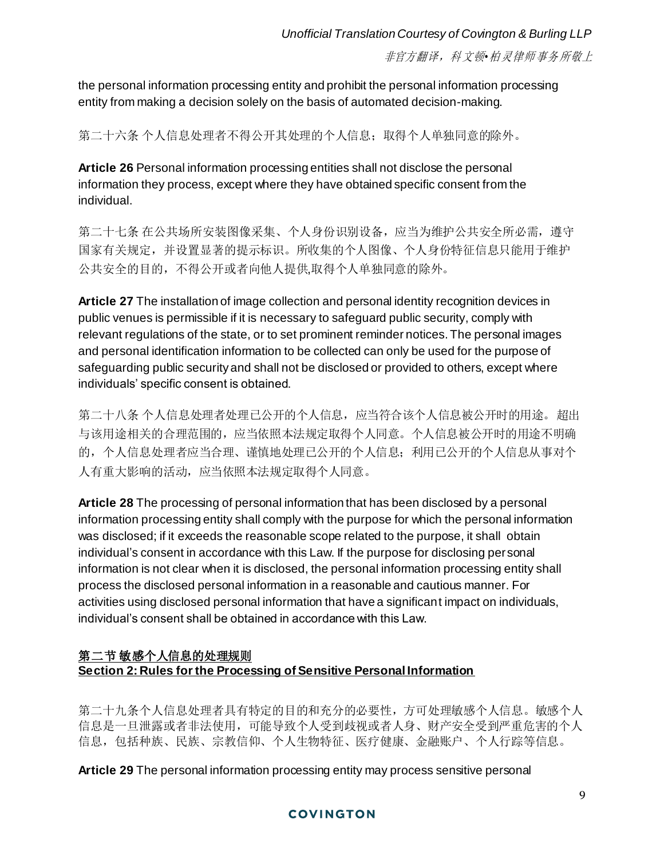the personal information processing entity and prohibit the personal information processing entity from making a decision solely on the basis of automated decision-making.

第二十六条 个人信息处理者不得公开其处理的个人信息;取得个人单独同意的除外。

**Article 26** Personal information processing entities shall not disclose the personal information they process, except where they have obtained specific consent from the individual.

第二十七条 在公共场所安装图像采集、个人身份识别设备,应当为维护公共安全所必需, 遵守 国家有关规定,并设置显著的提示标识。所收集的个人图像、个人身份特征信息只能用于维护 公共安全的目的,不得公开或者向他人提供,取得个人单独同意的除外。

**Article 27** The installation of image collection and personal identity recognition devices in public venues is permissible if it is necessary to safeguard public security, comply with relevant regulations of the state, or to set prominent reminder notices. The personal images and personal identification information to be collected can only be used for the purpose of safeguarding public security and shall not be disclosed or provided to others, except where individuals' specific consent is obtained.

第二十八条 个人信息处理者处理已公开的个人信息,应当符合该个人信息被公开时的用途。超出 与该用途相关的合理范围的,应当依照本法规定取得个人同意。个人信息被公开时的用途不明确 的,个人信息处理者应当合理、谨慎地处理已公开的个人信息;利用已公开的个人信息从事对个 人有重大影响的活动,应当依照本法规定取得个人同意。

**Article 28** The processing of personal information that has been disclosed by a personal information processing entity shall comply with the purpose for which the personal information was disclosed; if it exceeds the reasonable scope related to the purpose, it shall obtain individual's consent in accordance with this Law. If the purpose for disclosing personal information is not clear when it is disclosed, the personal information processing entity shall process the disclosed personal information in a reasonable and cautious manner. For activities using disclosed personal information that have a significant impact on individuals, individual's consent shall be obtained in accordance with this Law.

## 第二节 敏感个人信息的处理规则 **Section 2: Rules for the Processing of Sensitive Personal Information**

第二十九条个人信息处理者具有特定的目的和充分的必要性,方可处理敏感个人信息。敏感个人 信息是一旦泄露或者非法使用,可能导致个人受到歧视或者人身、财产安全受到严重危害的个人 信息,包括种族、民族、宗教信仰、个人生物特征、医疗健康、金融账户、个人行踪等信息。

**Article 29** The personal information processing entity may process sensitive personal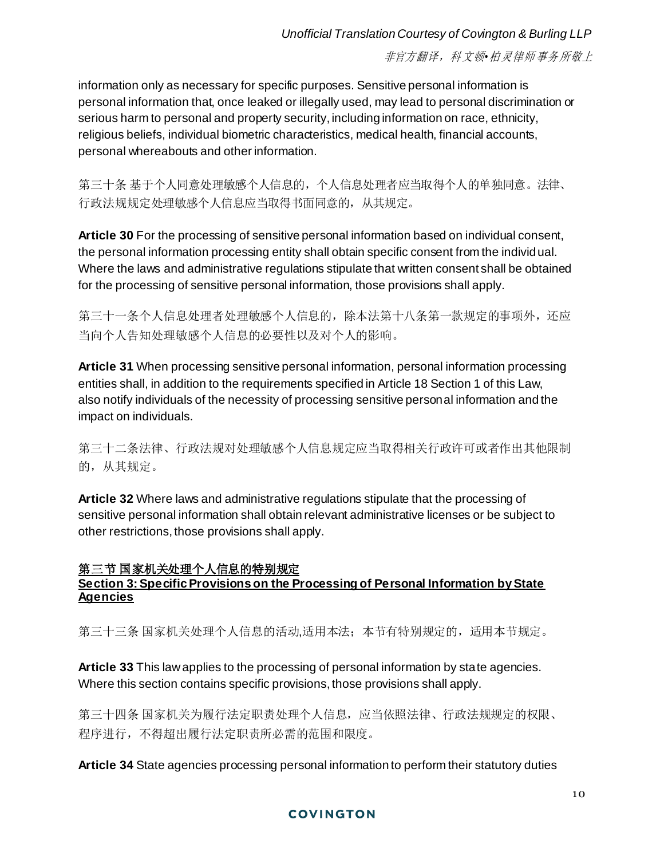information only as necessary for specific purposes. Sensitive personal information is personal information that, once leaked or illegally used, may lead to personal discrimination or serious harm to personal and property security, including information on race, ethnicity, religious beliefs, individual biometric characteristics, medical health, financial accounts, personal whereabouts and other information.

第三十条 基于个人同意处理敏感个人信息的,个人信息处理者应当取得个人的单独同意。法律、 行政法规规定处理敏感个人信息应当取得书面同意的,从其规定。

**Article 30** For the processing of sensitive personal information based on individual consent, the personal information processing entity shall obtain specific consent from the individual. Where the laws and administrative regulations stipulate that written consent shall be obtained for the processing of sensitive personal information, those provisions shall apply.

第三十一条个人信息处理者处理敏感个人信息的,除本法第十八条第一款规定的事项外,还应 当向个人告知处理敏感个人信息的必要性以及对个人的影响。

**Article 31** When processing sensitive personal information, personal information processing entities shall, in addition to the requirements specified in Article 18 Section 1 of this Law, also notify individuals of the necessity of processing sensitive personal information and the impact on individuals.

第三十二条法律、行政法规对处理敏感个人信息规定应当取得相关行政许可或者作出其他限制 的,从其规定。

**Article 32** Where laws and administrative regulations stipulate that the processing of sensitive personal information shall obtain relevant administrative licenses or be subject to other restrictions, those provisions shall apply.

#### 第三节 国家机关处理个人信息的特别规定 **Section 3: Specific Provisions on the Processing of Personal Information by State Agencies**

第三十三条 国家机关处理个人信息的活动,适用本法; 本节有特别规定的, 适用本节规定。

**Article 33** This law applies to the processing of personal information by state agencies. Where this section contains specific provisions, those provisions shall apply.

第三十四条 国家机关为履行法定职责处理个人信息,应当依照法律、行政法规规定的权限、 程序进行,不得超出履行法定职责所必需的范围和限度。

**Article 34** State agencies processing personal information to perform their statutory duties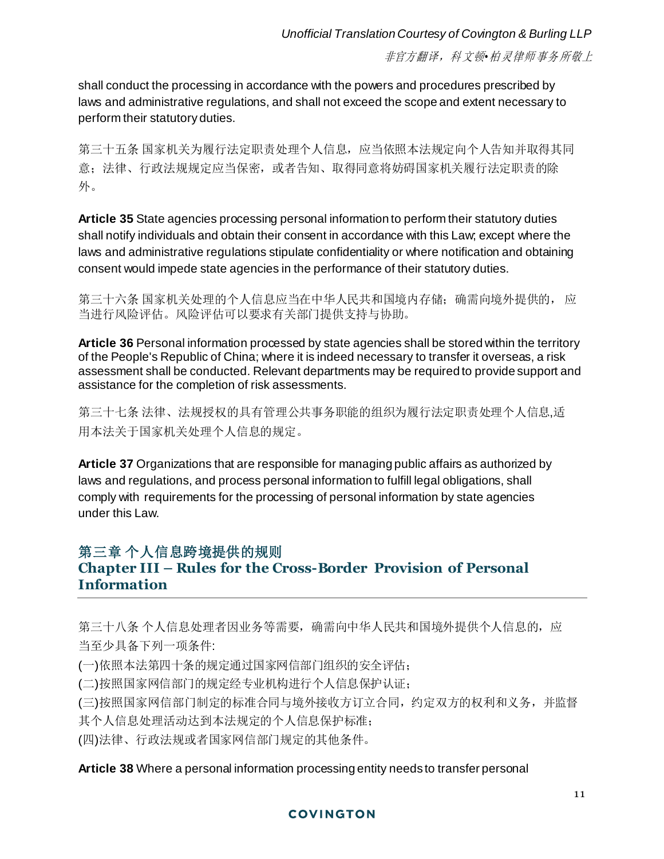shall conduct the processing in accordance with the powers and procedures prescribed by laws and administrative regulations, and shall not exceed the scope and extent necessary to perform their statutory duties.

第三十五条 国家机关为履行法定职责处理个人信息,应当依照本法规定向个人告知并取得其同 意;法律、行政法规规定应当保密,或者告知、取得同意将妨碍国家机关履行法定职责的除 外。

**Article 35** State agencies processing personal information to perform their statutory duties shall notify individuals and obtain their consent in accordance with this Law; except where the laws and administrative regulations stipulate confidentiality or where notification and obtaining consent would impede state agencies in the performance of their statutory duties.

第三十六条 国家机关处理的个人信息应当在中华人民共和国境内存储;确需向境外提供的, 应 当进行风险评估。风险评估可以要求有关部门提供支持与协助。

**Article 36** Personal information processed by state agencies shall be stored within the territory of the People's Republic of China; where it is indeed necessary to transfer it overseas, a risk assessment shall be conducted. Relevant departments may be required to provide support and assistance for the completion of risk assessments.

第三十七条 法律、法规授权的具有管理公共事务职能的组织为履行法定职责处理个人信息,适 用本法关于国家机关处理个人信息的规定。

**Article 37** Organizations that are responsible for managing public affairs as authorized by laws and regulations, and process personal information to fulfill legal obligations, shall comply with requirements for the processing of personal information by state agencies under this Law.

# 第三章 个人信息跨境提供的规则

# **Chapter III – Rules for the Cross-Border Provision of Personal Information**

第三十八条 个人信息处理者因业务等需要,确需向中华人民共和国境外提供个人信息的,应 当至少具备下列一项条件:

(一)依照本法第四十条的规定通过国家网信部门组织的安全评估;

(二)按照国家网信部门的规定经专业机构进行个人信息保护认证;

(三)按照国家网信部门制定的标准合同与境外接收方订立合同,约定双方的权利和义务,并监督 其个人信息处理活动达到本法规定的个人信息保护标准;

(四)法律、行政法规或者国家网信部门规定的其他条件。

## **Article 38** Where a personal information processing entity needs to transfer personal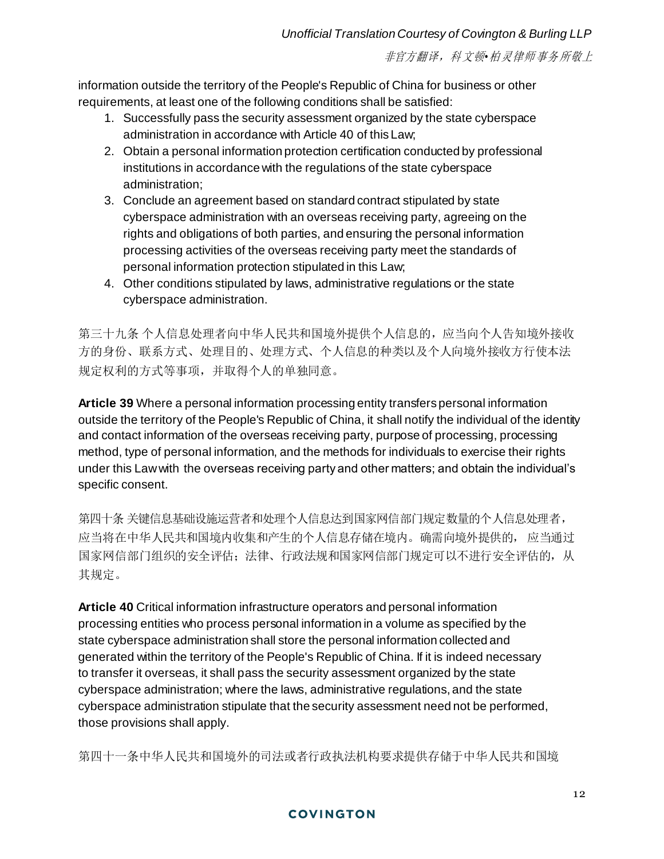information outside the territory of the People's Republic of China for business or other requirements, at least one of the following conditions shall be satisfied:

- 1. Successfully pass the security assessment organized by the state cyberspace administration in accordance with Article 40 of this Law;
- 2. Obtain a personal information protection certification conducted by professional institutions in accordance with the regulations of the state cyberspace administration;
- 3. Conclude an agreement based on standard contract stipulated by state cyberspace administration with an overseas receiving party, agreeing on the rights and obligations of both parties, and ensuring the personal information processing activities of the overseas receiving party meet the standards of personal information protection stipulated in this Law;
- 4. Other conditions stipulated by laws, administrative regulations or the state cyberspace administration.

第三十九条 个人信息处理者向中华人民共和国境外提供个人信息的,应当向个人告知境外接收 方的身份、联系方式、处理目的、处理方式、个人信息的种类以及个人向境外接收方行使本法 规定权利的方式等事项,并取得个人的单独同意。

**Article 39** Where a personal information processing entity transfers personal information outside the territory of the People's Republic of China, it shall notify the individual of the identity and contact information of the overseas receiving party, purpose of processing, processing method, type of personal information, and the methods for individuals to exercise their rights under this Law with the overseas receiving party and other matters; and obtain the individual's specific consent.

第四十条 关键信息基础设施运营者和处理个人信息达到国家网信部门规定数量的个人信息处理者, 应当将在中华人民共和国境内收集和产生的个人信息存储在境内。确需向境外提供的, 应当通过 国家网信部门组织的安全评估;法律、行政法规和国家网信部门规定可以不进行安全评估的,从 其规定。

**Article 40** Critical information infrastructure operators and personal information processing entities who process personal information in a volume as specified by the state cyberspace administration shall store the personal information collected and generated within the territory of the People's Republic of China. If it is indeed necessary to transfer it overseas, it shall pass the security assessment organized by the state cyberspace administration; where the laws, administrative regulations, and the state cyberspace administration stipulate that the security assessment need not be performed, those provisions shall apply.

第四十一条中华人民共和国境外的司法或者行政执法机构要求提供存储于中华人民共和国境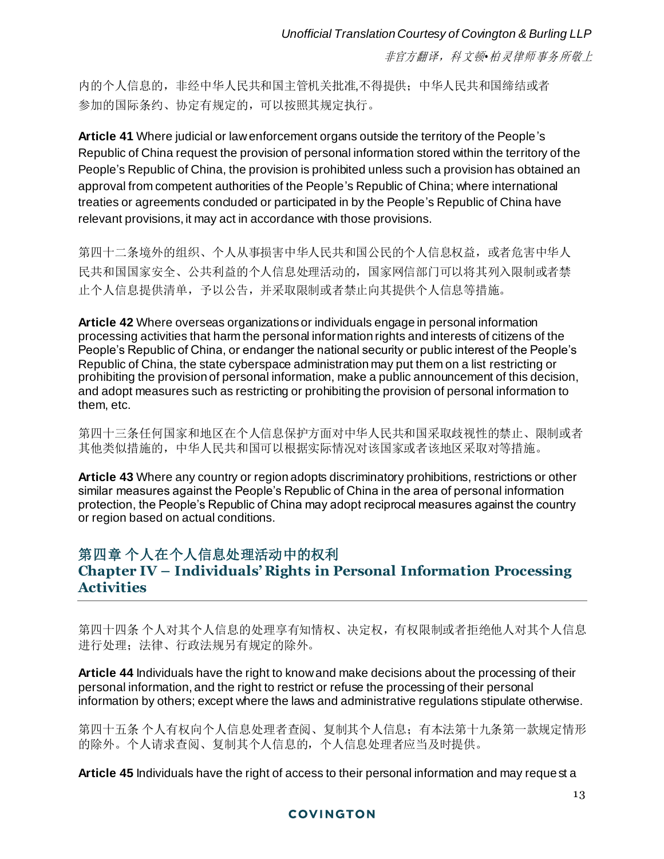内的个人信息的,非经中华人民共和国主管机关批准,不得提供;中华人民共和国缔结或者 参加的国际条约、协定有规定的,可以按照其规定执行。

**Article 41** Where judicial or law enforcement organs outside the territory of the People's Republic of China request the provision of personal information stored within the territory of the People's Republic of China, the provision is prohibited unless such a provision has obtained an approval from competent authorities of the People's Republic of China; where international treaties or agreements conduded or participated in by the People's Republic of China have relevant provisions, it may act in accordance with those provisions.

第四十二条境外的组织、个人从事损害中华人民共和国公民的个人信息权益,或者危害中华人 民共和国国家安全、公共利益的个人信息处理活动的,国家网信部门可以将其列入限制或者禁 止个人信息提供清单,予以公告,并采取限制或者禁止向其提供个人信息等措施。

**Article 42** Where overseas organizations or individuals engage in personal information processing activities that harm the personal information rights and interests of citizens of the People's Republic of China, or endanger the national security or public interest of the People's Republic of China, the state cyberspace administration may put them on a list restricting or prohibiting the provision of personal information, make a public announcement of this decision, and adopt measures such as restricting or prohibiting the provision of personal information to them, etc.

第四十三条任何国家和地区在个人信息保护方面对中华人民共和国采取歧视性的禁止、限制或者 其他类似措施的,中华人民共和国可以根据实际情况对该国家或者该地区采取对等措施。

**Article 43** Where any country or region adopts discriminatory prohibitions, restrictions or other similar measures against the People's Republic of China in the area of personal information protection, the People's Republic of China may adopt reciprocal measures against the country or region based on actual conditions.

# 第四章 个人在个人信息处理活动中的权利 **Chapter IV – Individuals' Rights in Personal Information Processing Activities**

第四十四条 个人对其个人信息的处理享有知情权、决定权,有权限制或者拒绝他人对其个人信息 进行处理;法律、行政法规另有规定的除外。

**Article 44** Individuals have the right to know and make decisions about the processing of their personal information, and the right to restrict or refuse the processing of their personal information by others; except where the laws and administrative regulations stipulate otherwise.

第四十五条 个人有权向个人信息处理者查阅、复制其个人信息;有本法第十九条第一款规定情形 的除外。个人请求查阅、复制其个人信息的,个人信息处理者应当及时提供。

**Article 45** Individuals have the right of access to their personal information and may request a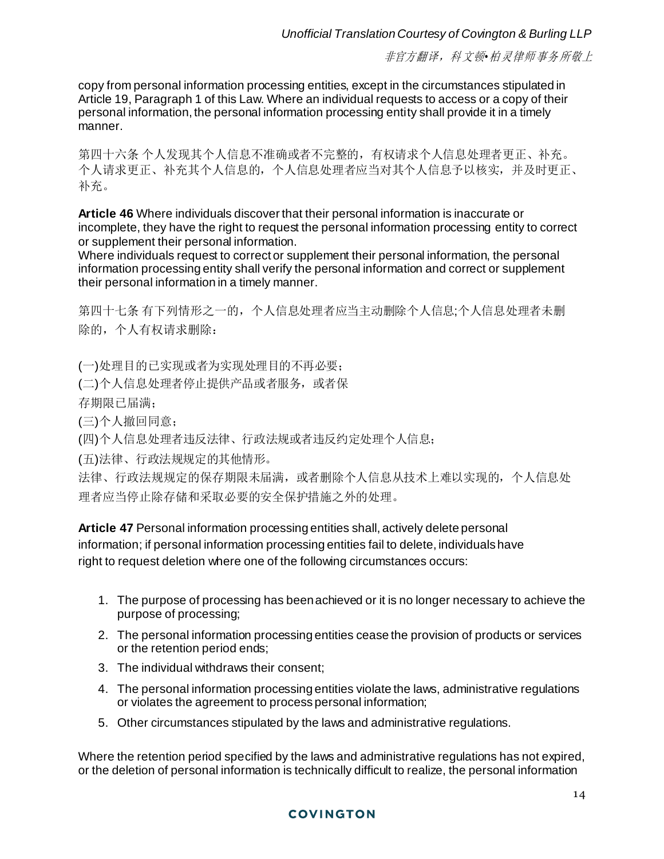copy from personal information processing entities, except in the circumstances stipulated in Article 19, Paragraph 1 of this Law. Where an individual requests to access or a copy of their personal information, the personal information processing entity shall provide it in a timely manner.

第四十六条 个人发现其个人信息不准确或者不完整的,有权请求个人信息处理者更正、补充。 个人请求更正、补充其个人信息的,个人信息处理者应当对其个人信息予以核实,并及时更正、 补充。

**Article 46** Where individuals discover that their personal information is inaccurate or incomplete, they have the right to request the personal information processing entity to correct or supplement their personal information.

Where individuals request to correct or supplement their personal information, the personal information processing entity shall verify the personal information and correct or supplement their personal information in a timely manner.

第四十七条 有下列情形之一的,个人信息处理者应当主动删除个人信息;个人信息处理者未删 除的,个人有权请求删除:

(一)处理目的已实现或者为实现处理目的不再必要;

(二)个人信息处理者停止提供产品或者服务,或者保

存期限已届满;

(三)个人撤回同意;

(四)个人信息处理者违反法律、行政法规或者违反约定处理个人信息;

(五)法律、行政法规规定的其他情形。

法律、行政法规规定的保存期限未届满,或者删除个人信息从技术上难以实现的,个人信息处 理者应当停止除存储和采取必要的安全保护措施之外的处理。

**Article 47** Personal information processing entities shall, actively delete personal information; if personal information processing entities fail to delete, individuals have right to request deletion where one of the following circumstances occurs:

- 1. The purpose of processing has beenachieved or it is no longer necessary to achieve the purpose of processing;
- 2. The personal information processing entities cease the provision of products or services or the retention period ends;
- 3. The individual withdraws their consent;
- 4. The personal information processing entities violate the laws, administrative regulations or violates the agreement to process personal information;
- 5. Other circumstances stipulated by the laws and administrative regulations.

Where the retention period specified by the laws and administrative regulations has not expired, or the deletion of personal information is technically difficult to realize, the personal information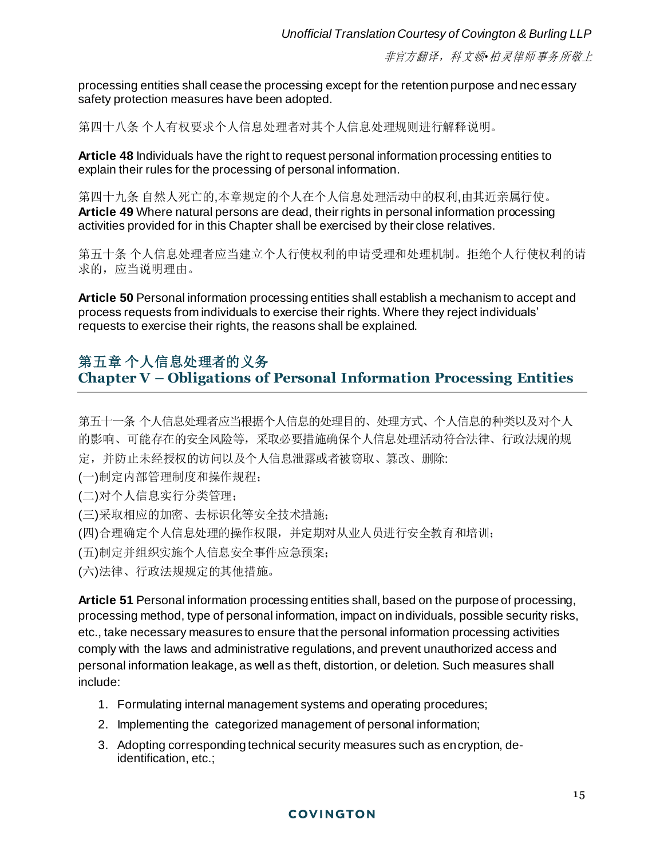processing entities shall cease the processing except for the retention purpose and necessary safety protection measures have been adopted.

第四十八条 个人有权要求个人信息处理者对其个人信息处理规则进行解释说明。

**Article 48** Individuals have the right to request personal information processing entities to explain their rules for the processing of personal information.

第四十九条 自然人死亡的,本章规定的个人在个人信息处理活动中的权利,由其近亲属行使。 **Article 49** Where natural persons are dead, their rights in personal information processing activities provided for in this Chapter shall be exercised by their close relatives.

第五十条 个人信息处理者应当建立个人行使权利的申请受理和处理机制。拒绝个人行使权利的请 求的,应当说明理由。

**Article 50** Personal information processing entities shall establish a mechanism to accept and process requests from individuals to exercise their rights. Where they reject individuals' requests to exercise their rights, the reasons shall be explained.

# 第五章 个人信息处理者的义务 **Chapter V – Obligations of Personal Information Processing Entities**

第五十一条 个人信息处理者应当根据个人信息的处理目的、处理方式、个人信息的种类以及对个人 的影响、可能存在的安全风险等,采取必要措施确保个人信息处理活动符合法律、行政法规的规 定,并防止未经授权的访问以及个人信息泄露或者被窃取、篡改、删除:

(一)制定内部管理制度和操作规程;

(二)对个人信息实行分类管理;

(三)采取相应的加密、去标识化等安全技术措施;

(四)合理确定个人信息处理的操作权限,并定期对从业人员进行安全教育和培训;

(五)制定并组织实施个人信息安全事件应急预案;

(六)法律、行政法规规定的其他措施。

**Article 51** Personal information processing entities shall, based on the purpose of processing, processing method, type of personal information, impact on individuals, possible security risks, etc., take necessary measures to ensure that the personal information processing activities comply with the laws and administrative regulations, and prevent unauthorized access and personal information leakage, as well as theft, distortion, or deletion. Such measures shall include:

- 1. Formulating internal management systems and operating procedures;
- 2. Implementing the categorized management of personal information;
- 3. Adopting corresponding technical security measures such as encryption, deidentification, etc.;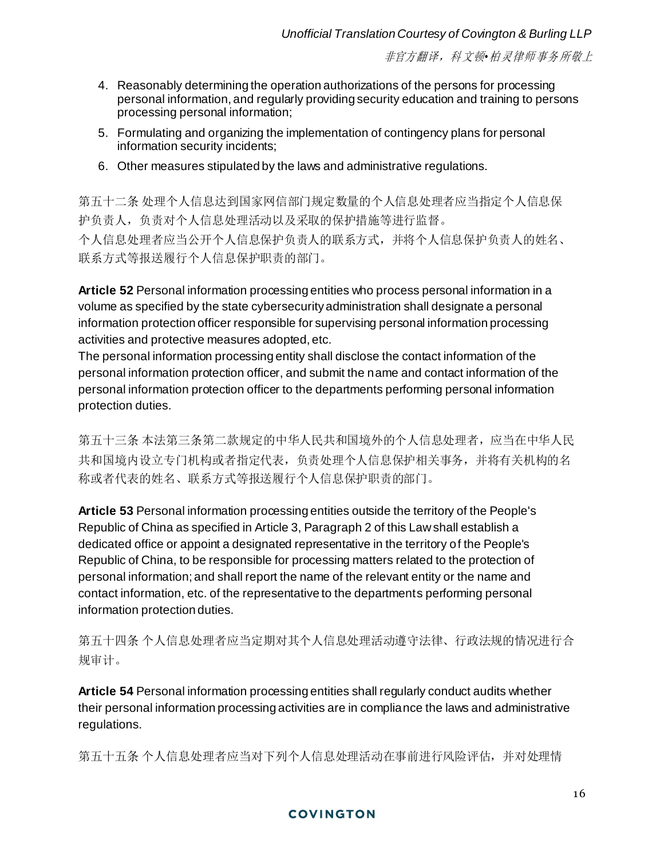- 4. Reasonably determining the operation authorizations of the persons for processing personal information, and regularly providing security education and training to persons processing personal information;
- 5. Formulating and organizing the implementation of contingency plans for personal information security incidents;
- 6. Other measures stipulated by the laws and administrative regulations.

第五十二条 处理个人信息达到国家网信部门规定数量的个人信息处理者应当指定个人信息保 护负责人,负责对个人信息处理活动以及采取的保护措施等进行监督。 个人信息处理者应当公开个人信息保护负责人的联系方式,并将个人信息保护负责人的姓名、 联系方式等报送履行个人信息保护职责的部门。

**Article 52** Personal information processing entities who process personal information in a volume as specified by the state cybersecurity administration shall designate a personal information protection officer responsible for supervising personal information processing activities and protective measures adopted, etc.

The personal information processing entity shall disclose the contact information of the personal information protection officer, and submit the name and contact information of the personal information protection officer to the departments performing personal information protection duties.

第五十三条 本法第三条第二款规定的中华人民共和国境外的个人信息处理者,应当在中华人民 共和国境内设立专门机构或者指定代表,负责处理个人信息保护相关事务,并将有关机构的名 称或者代表的姓名、联系方式等报送履行个人信息保护职责的部门。

**Article 53** Personal information processing entities outside the territory of the People's Republic of China as specified in Article 3, Paragraph 2 of this Law shall establish a dedicated office or appoint a designated representative in the territory of the People's Republic of China, to be responsible for processing matters related to the protection of personal information; and shall report the name of the relevant entity or the name and contact information, etc. of the representative to the departments performing personal information protection duties.

第五十四条 个人信息处理者应当定期对其个人信息处理活动遵守法律、行政法规的情况进行合 规审计。

**Article 54** Personal information processing entities shall regularly conduct audits whether their personal information processing activities are in compliance the laws and administrative regulations.

第五十五条 个人信息处理者应当对下列个人信息处理活动在事前进行风险评估,并对处理情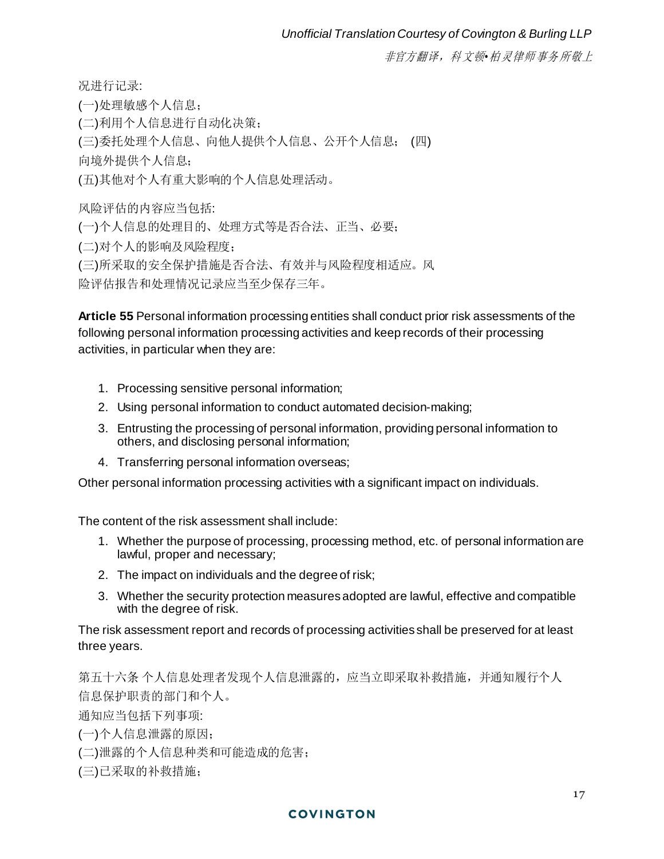况进行记录:

(一)处理敏感个人信息; (二)利用个人信息进行自动化决策; (三)委托处理个人信息、向他人提供个人信息、公开个人信息; (四) 向境外提供个人信息; (五)其他对个人有重大影响的个人信息处理活动。 风险评估的内容应当包括: (一)个人信息的处理目的、处理方式等是否合法、正当、必要; (二)对个人的影响及风险程度;

(三)所采取的安全保护措施是否合法、有效并与风险程度相适应。风

险评估报告和处理情况记录应当至少保存三年。

**Article 55** Personal information processing entities shall conduct prior risk assessments of the following personal information processing activities and keep records of their processing activities, in particular when they are:

- 1. Processing sensitive personal information;
- 2. Using personal information to conduct automated decision-making;
- 3. Entrusting the processing of personal information, providing personal information to others, and disclosing personal information;
- 4. Transferring personal information overseas;

Other personal information processing activities with a significant impact on individuals.

The content of the risk assessment shall include:

- 1. Whether the purpose of processing, processing method, etc. of personal information are lawful, proper and necessary;
- 2. The impact on individuals and the degree of risk;
- 3. Whether the security protection measures adopted are lawful, effective and compatible with the degree of risk.

The risk assessment report and records of processing activities shall be preserved for at least three years.

第五十六条 个人信息处理者发现个人信息泄露的,应当立即采取补救措施,并通知履行个人 信息保护职责的部门和个人。

通知应当包括下列事项:

- (一)个人信息泄露的原因;
- (二)泄露的个人信息种类和可能造成的危害;
- (三)已采取的补救措施;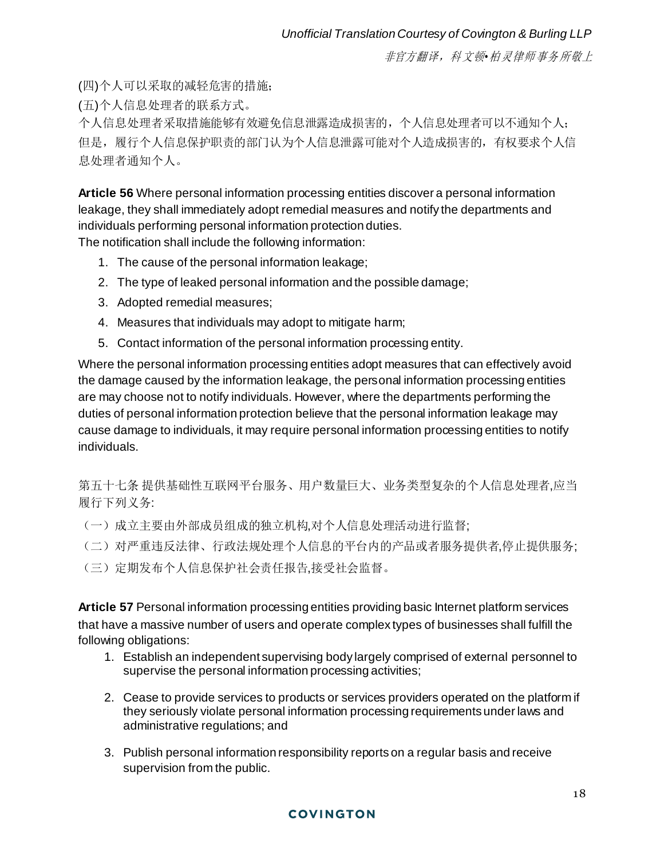(四)个人可以采取的减轻危害的措施;

(五)个人信息处理者的联系方式。

个人信息处理者采取措施能够有效避免信息泄露造成损害的,个人信息处理者可以不通知个人; 但是,履行个人信息保护职责的部门认为个人信息泄露可能对个人造成损害的,有权要求个人信 息处理者通知个人。

**Article 56** Where personal information processing entities discover a personal information leakage, they shall immediately adopt remedial measures and notify the departments and individuals performing personal information protection duties. The notification shall include the following information:

- 1. The cause of the personal information leakage;
- 2. The type of leaked personal information and the possible damage;
- 3. Adopted remedial measures;
- 4. Measures that individuals may adopt to mitigate harm;
- 5. Contact information of the personal information processing entity.

Where the personal information processing entities adopt measures that can effectively avoid the damage caused by the information leakage, the personal information processing entities are may choose not to notify individuals. However, where the departments performing the duties of personal information protection believe that the personal information leakage may cause damage to individuals, it may require personal information processing entities to notify individuals.

第五十七条 提供基础性互联网平台服务、用户数量巨大、业务类型复杂的个人信息处理者,应当 履行下列义务:

- (一)成立主要由外部成员组成的独立机构,对个人信息处理活动进行监督;
- (二)对严重违反法律、行政法规处理个人信息的平台内的产品或者服务提供者,停止提供服务;
- (三)定期发布个人信息保护社会责任报告,接受社会监督。

Article 57 Personal information processing entities providing basic Internet platform services that have a massive number of users and operate complex types of businesses shall fulfill the following obligations:

- 1. Establish an independent supervising body largely comprised of external personnel to supervise the personal information processing activities;
- 2. Cease to provide services to products or services providers operated on the platform if they seriously violate personal information processing requirements under laws and administrative regulations; and
- 3. Publish personal information responsibility reports on a regular basis and receive supervision from the public.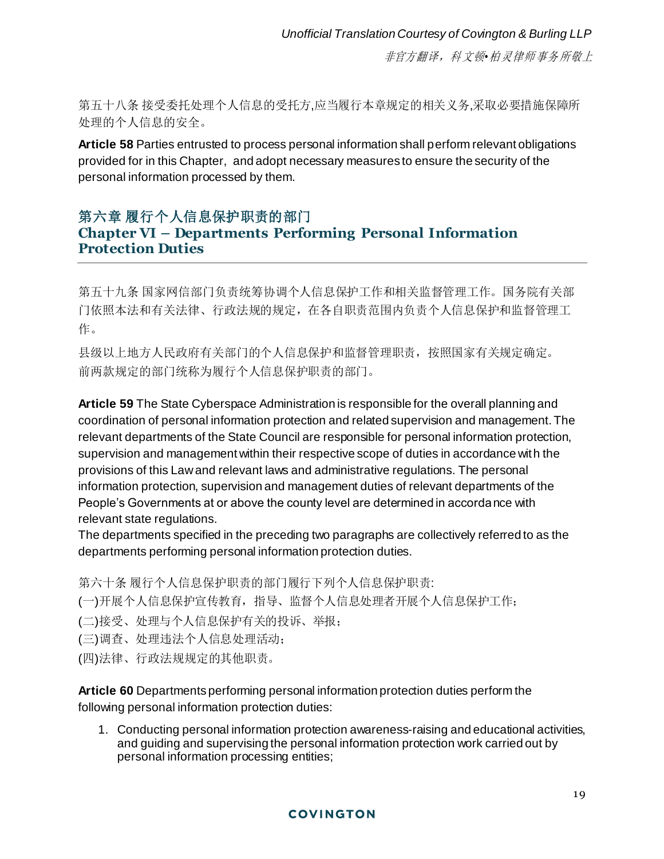第五十八条 接受委托处理个人信息的受托方,应当履行本章规定的相关义务,采取必要措施保障所 处理的个人信息的安全。

**Article 58** Parties entrusted to process personal information shall perform relevant obligations provided for in this Chapter, and adopt necessary measures to ensure the security of the personal information processed by them.

## 第六章 履行个人信息保护职责的部门 **Chapter VI – Departments Performing Personal Information Protection Duties**

第五十九条 国家网信部门负责统筹协调个人信息保护工作和相关监督管理工作。国务院有关部 门依照本法和有关法律、行政法规的规定,在各自职责范围内负责个人信息保护和监督管理工 作。

县级以上地方人民政府有关部门的个人信息保护和监督管理职责,按照国家有关规定确定。 前两款规定的部门统称为履行个人信息保护职责的部门。

**Article 59** The State Cyberspace Administration is responsible for the overall planning and coordination of personal information protection and related supervision and management. The relevant departments of the State Council are responsible for personal information protection, supervision and management within their respective scope of duties in accordance with the provisions of this Law and relevant laws and administrative regulations. The personal information protection, supervision and management duties of relevant departments of the People's Governments at or above the county level are determined in accordance with relevant state regulations.

The departments specified in the preceding two paragraphs are collectively referred to as the departments performing personal information protection duties.

第六十条 履行个人信息保护职责的部门履行下列个人信息保护职责:

(一)开展个人信息保护宣传教育,指导、监督个人信息处理者开展个人信息保护工作;

(二)接受、处理与个人信息保护有关的投诉、举报;

(三)调查、处理违法个人信息处理活动;

(四)法律、行政法规规定的其他职责。

**Article 60** Departments performing personal information protection duties perform the following personal information protection duties:

1. Conducting personal information protection awareness-raising and educational activities, and guiding and supervising the personal information protection work carried out by personal information processing entities;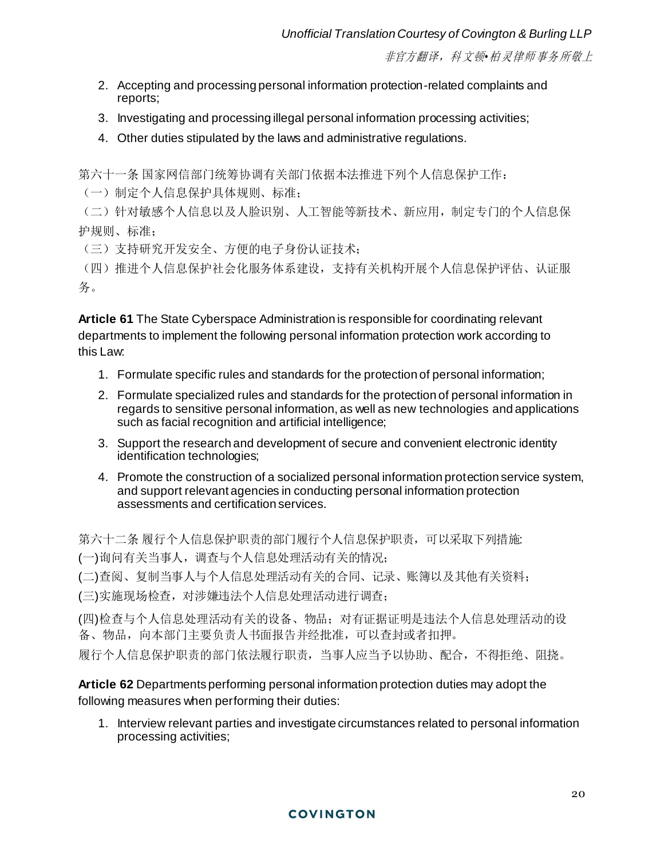- 2. Accepting and processing personal information protection-related complaints and reports;
- 3. Investigating and processing illegal personal information processing activities;
- 4. Other duties stipulated by the laws and administrative regulations.

第六十一条 国家网信部门统筹协调有关部门依据本法推进下列个人信息保护工作:

(一)制定个人信息保护具体规则、标准;

(二)针对敏感个人信息以及人脸识别、人工智能等新技术、新应用,制定专门的个人信息保 护规则、标准;

(三)支持研究开发安全、方便的电子身份认证技术;

(四)推进个人信息保护社会化服务体系建设,支持有关机构开展个人信息保护评估、认证服 务。

**Article 61** The State Cyberspace Administration is responsible for coordinating relevant departments to implement the following personal information protection work according to this Law:

- 1. Formulate specific rules and standards for the protection of personal information;
- 2. Formulate specialized rules and standards for the protection of personal information in regards to sensitive personal information, as well as new technologies and applications such as facial recognition and artificial intelligence;
- 3. Support the research and development of secure and convenient electronic identity identification technologies;
- 4. Promote the construction of a socialized personal information protection service system, and support relevant agencies in conducting personal information protection assessments and certification services.

第六十二条 履行个人信息保护职责的部门履行个人信息保护职责,可以采取下列措施:

(一)询问有关当事人,调查与个人信息处理活动有关的情况;

(二)查阅、复制当事人与个人信息处理活动有关的合同、记录、账簿以及其他有关资料;

(三)实施现场检查,对涉嫌违法个人信息处理活动进行调查;

(四)检查与个人信息处理活动有关的设备、物品;对有证据证明是违法个人信息处理活动的设 备、物品,向本部门主要负责人书面报告并经批准,可以查封或者扣押。

履行个人信息保护职责的部门依法履行职责,当事人应当予以协助、配合,不得拒绝、阻挠。

**Article 62** Departments performing personal information protection duties may adopt the following measures when performing their duties:

1. Interview relevant parties and investigate circumstances related to personal information processing activities;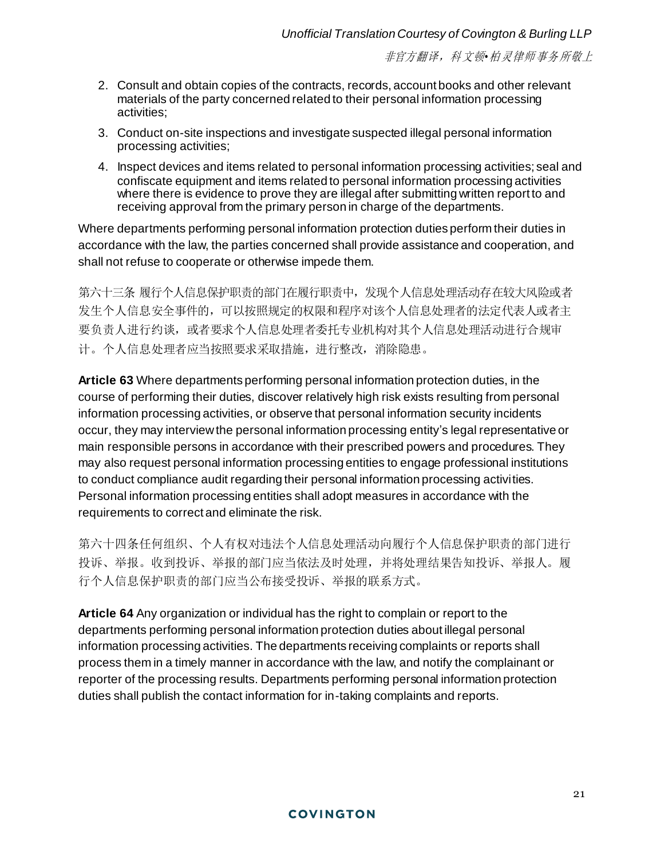- 2. Consult and obtain copies of the contracts, records, account books and other relevant materials of the party concerned related to their personal information processing activities;
- 3. Conduct on-site inspections and investigate suspected illegal personal information processing activities;
- 4. Inspect devices and items related to personal information processing activities; seal and confiscate equipment and items related to personal information processing activities where there is evidence to prove they are illegal after submitting written report to and receiving approval from the primary person in charge of the departments.

Where departments performing personal information protection duties perform their duties in accordance with the law, the parties concerned shall provide assistance and cooperation, and shall not refuse to cooperate or otherwise impede them.

第六十三条 履行个人信息保护职责的部门在履行职责中,发现个人信息处理活动存在较大风险或者 发生个人信息安全事件的,可以按照规定的权限和程序对该个人信息处理者的法定代表人或者主 要负责人进行约谈,或者要求个人信息处理者委托专业机构对其个人信息处理活动进行合规审 计。个人信息处理者应当按照要求采取措施,进行整改,消除隐患。

**Article 63** Where departments performing personal information protection duties, in the course of performing their duties, discover relatively high risk exists resulting from personal information processing activities, or observe that personal information security incidents occur, they may interview the personal information processing entity's legal representative or main responsible persons in accordance with their prescribed powers and procedures. They may also request personal information processing entities to engage professional institutions to conduct compliance audit regarding their personal information processing activities. Personal information processing entities shall adopt measures in accordance with the requirements to correct and eliminate the risk.

第六十四条任何组织、个人有权对违法个人信息处理活动向履行个人信息保护职责的部门进行 投诉、举报。收到投诉、举报的部门应当依法及时处理,并将处理结果告知投诉、举报人。履 行个人信息保护职责的部门应当公布接受投诉、举报的联系方式。

**Article 64** Any organization or individual has the right to complain or report to the departments performing personal information protection duties about illegal personal information processing activities. The departments receiving complaints or reports shall process them in a timely manner in accordance with the law, and notify the complainant or reporter of the processing results. Departments performing personal information protection duties shall publish the contact information for in-taking complaints and reports.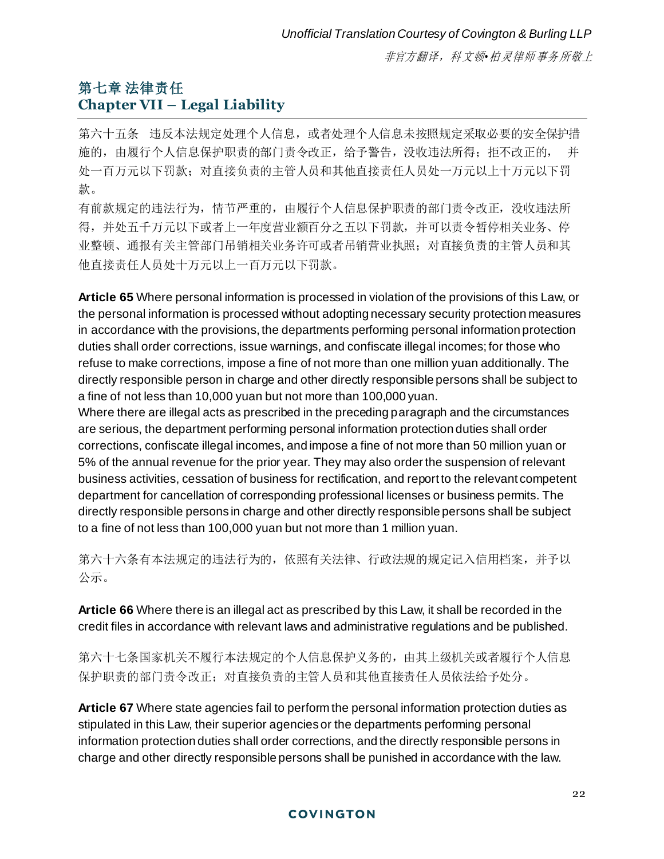# 第七章 法律责任 **Chapter VII – Legal Liability**

第六十五条 违反本法规定处理个人信息,或者处理个人信息未按照规定采取必要的安全保护措 施的,由履行个人信息保护职责的部门责令改正,给予警告,没收违法所得;拒不改正的,并 处一百万元以下罚款;对直接负责的主管人员和其他直接责任人员处一万元以上十万元以下罚 款。

有前款规定的违法行为,情节严重的,由履行个人信息保护职责的部门责令改正,没收违法所 得,并处五千万元以下或者上一年度营业额百分之五以下罚款,并可以责令暂停相关业务、停 业整顿、通报有关主管部门吊销相关业务许可或者吊销营业执照;对直接负责的主管人员和其 他直接责任人员处十万元以上一百万元以下罚款。

**Article 65** Where personal information is processed in violation of the provisions of this Law, or the personal information is processed without adopting necessary security protection measures in accordance with the provisions, the departments performing personal information protection duties shall order corrections, issue warnings, and confiscate illegal incomes; for those who refuse to make corrections, impose a fine of not more than one million yuan additionally. The directly responsible person in charge and other directly responsible persons shall be subject to a fine of not less than 10,000 yuan but not more than 100,000 yuan.

Where there are illegal acts as prescribed in the preceding paragraph and the circumstances are serious, the department performing personal information protection duties shall order corrections, confiscate illegal incomes, and impose a fine of not more than 50 million yuan or 5% of the annual revenue for the prior year. They may also order the suspension of relevant business activities, cessation of business for rectification, and report to the relevant competent department for cancellation of corresponding professional licenses or business permits. The directly responsible persons in charge and other directly responsible persons shall be subject to a fine of not less than 100,000 yuan but not more than 1 million yuan.

第六十六条有本法规定的违法行为的,依照有关法律、行政法规的规定记入信用档案,并予以 公示。

**Article 66** Where there is an illegal act as prescribed by this Law, it shall be recorded in the credit files in accordance with relevant laws and administrative regulations and be published.

第六十七条国家机关不履行本法规定的个人信息保护义务的,由其上级机关或者履行个人信息 保护职责的部门责令改正;对直接负责的主管人员和其他直接责任人员依法给予处分。

**Article 67** Where state agencies fail to perform the personal information protection duties as stipulated in this Law, their superior agencies or the departments performing personal information protection duties shall order corrections, and the directly responsible persons in charge and other directly responsible persons shall be punished in accordance with the law.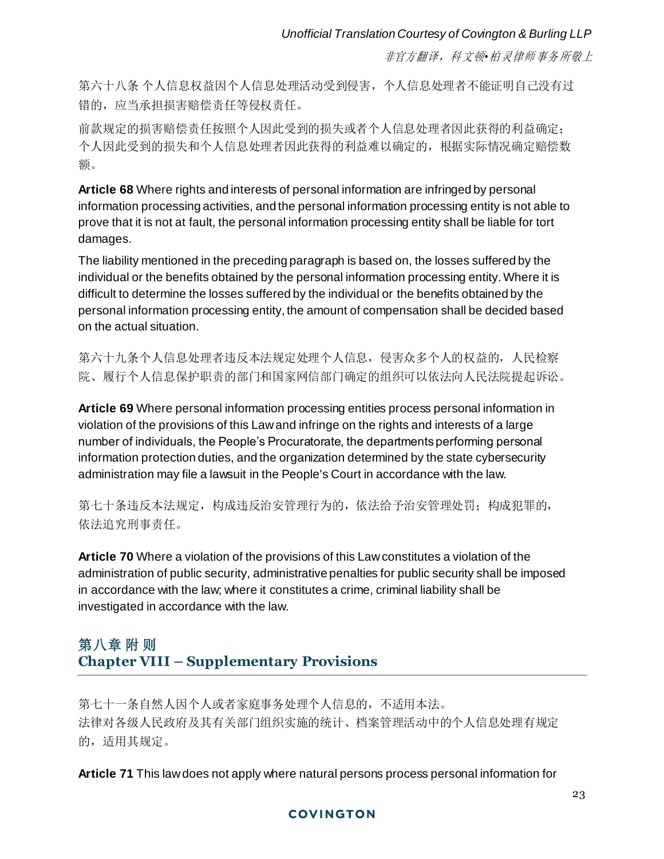第六十八条 个人信息权益因个人信息处理活动受到侵害,个人信息处理者不能证明自己没有过 错的,应当承担损害赔偿责任等侵权责任。

前款规定的损害赔偿责任按照个人因此受到的损失或者个人信息处理者因此获得的利益确定; 个人因此受到的损失和个人信息处理者因此获得的利益难以确定的,根据实际情况确定赔偿数 额。

**Article 68** Where rights and interests of personal information are infringed by personal information processing activities, and the personal information processing entity is not able to prove that it is not at fault, the personal information processing entity shall be liable for tort damages.

The liability mentioned in the preceding paragraph is based on, the losses suffered by the individual or the benefits obtained by the personal information processing entity. Where it is difficult to determine the losses suffered by the individual or the benefits obtained by the personal information processing entity, the amount of compensation shall be decided based on the actual situation.

第六十九条个人信息处理者违反本法规定处理个人信息,侵害众多个人的权益的,人民检察 院、履行个人信息保护职责的部门和国家网信部门确定的组织可以依法向人民法院提起诉讼。

**Article 69** Where personal information processing entities process personal information in violation of the provisions of this Law and infringe on the rights and interests of a large number of individuals, the People's Procuratorate, the departments performing personal information protection duties, and the organization determined by the state cybersecurity administration may file a lawsuit in the People's Court in accordance with the law.

第七十条违反本法规定,构成违反治安管理行为的,依法给予治安管理处罚;构成犯罪的, 依法追究刑事责任。

**Article 70** Where a violation of the provisions of this Law constitutes a violation of the administration of public security, administrative penalties for public security shall be imposed in accordance with the law; where it constitutes a crime, criminal liability shall be investigated in accordance with the law.

# 第八章 附 则 **Chapter VIII – Supplementary Provisions**

第七十一条自然人因个人或者家庭事务处理个人信息的,不适用本法。 法律对各级人民政府及其有关部门组织实施的统计、档案管理活动中的个人信息处理有规定 的,适用其规定。

**Article 71** This law does not apply where natural persons process personal information for